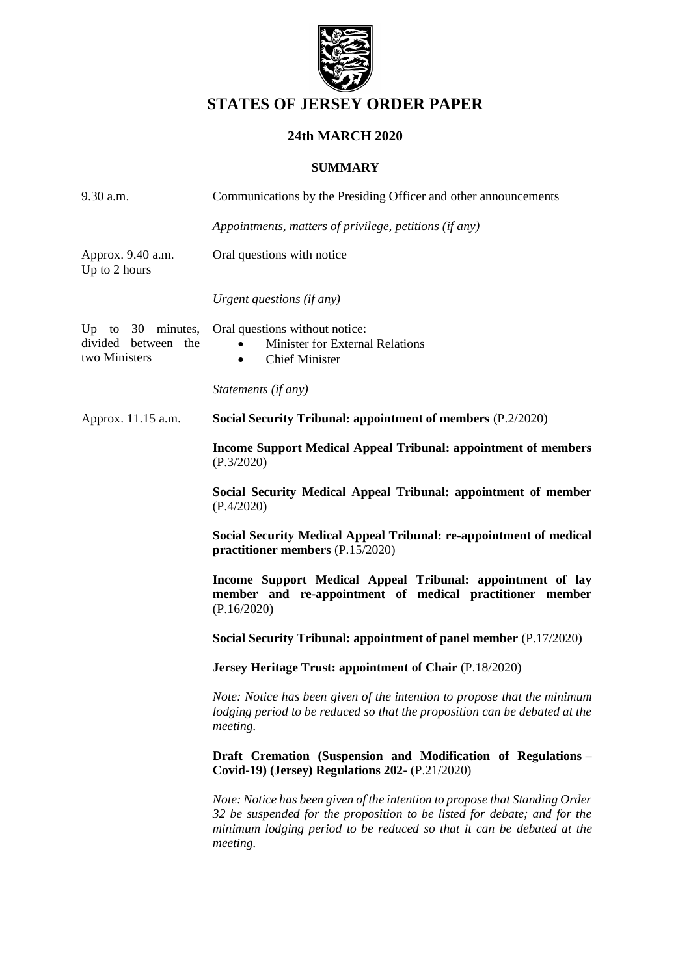

# **STATES OF JERSEY ORDER PAPER**

## **24th MARCH 2020**

## **SUMMARY**

| 9.30 a.m.                                                   | Communications by the Presiding Officer and other announcements                                                                                                                                                                              |
|-------------------------------------------------------------|----------------------------------------------------------------------------------------------------------------------------------------------------------------------------------------------------------------------------------------------|
|                                                             | Appointments, matters of privilege, petitions (if any)                                                                                                                                                                                       |
| Approx. 9.40 a.m.<br>Up to 2 hours                          | Oral questions with notice                                                                                                                                                                                                                   |
|                                                             | Urgent questions (if any)                                                                                                                                                                                                                    |
| Up to $30$ minutes,<br>divided between the<br>two Ministers | Oral questions without notice:<br><b>Minister for External Relations</b><br><b>Chief Minister</b><br>$\bullet$                                                                                                                               |
|                                                             | Statements (if any)                                                                                                                                                                                                                          |
| Approx. 11.15 a.m.                                          | Social Security Tribunal: appointment of members (P.2/2020)                                                                                                                                                                                  |
|                                                             | <b>Income Support Medical Appeal Tribunal: appointment of members</b><br>(P.3/2020)                                                                                                                                                          |
|                                                             | Social Security Medical Appeal Tribunal: appointment of member<br>(P.4/2020)                                                                                                                                                                 |
|                                                             | Social Security Medical Appeal Tribunal: re-appointment of medical<br>practitioner members (P.15/2020)                                                                                                                                       |
|                                                             | Income Support Medical Appeal Tribunal: appointment of lay<br>member and re-appointment of medical practitioner member<br>(P.16/2020)                                                                                                        |
|                                                             | Social Security Tribunal: appointment of panel member (P.17/2020)                                                                                                                                                                            |
|                                                             | Jersey Heritage Trust: appointment of Chair (P.18/2020)                                                                                                                                                                                      |
|                                                             | Note: Notice has been given of the intention to propose that the minimum<br>lodging period to be reduced so that the proposition can be debated at the<br>meeting.                                                                           |
|                                                             | Draft Cremation (Suspension and Modification of Regulations -<br>Covid-19) (Jersey) Regulations 202- (P.21/2020)                                                                                                                             |
|                                                             | Note: Notice has been given of the intention to propose that Standing Order<br>32 be suspended for the proposition to be listed for debate; and for the<br>minimum lodging period to be reduced so that it can be debated at the<br>meeting. |
|                                                             |                                                                                                                                                                                                                                              |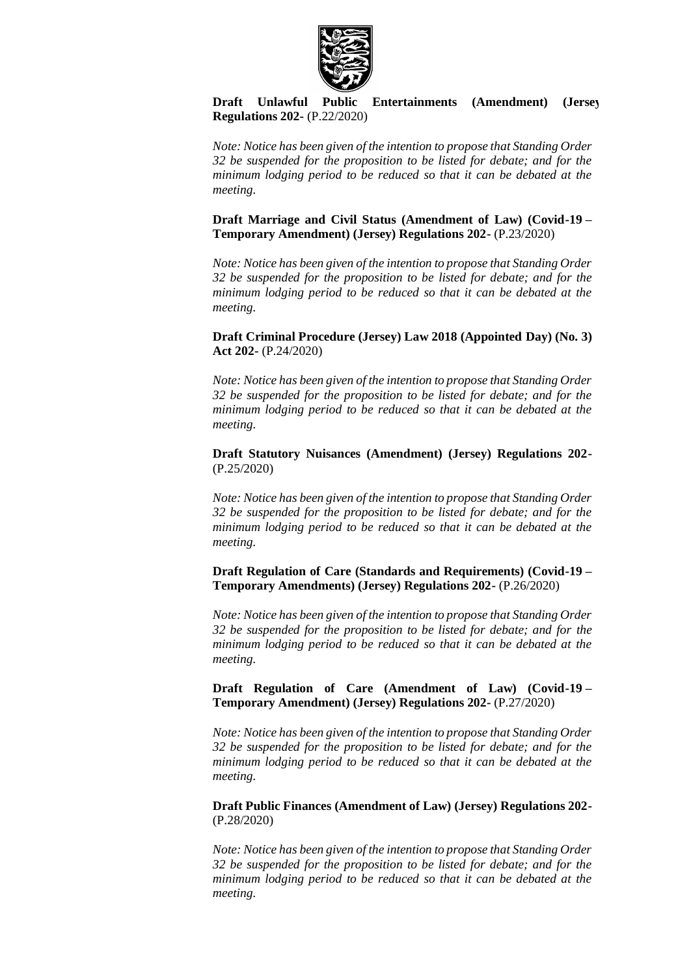

**[Draft Unlawful Public Entertainments \(Amendment\) \(Jersey\)](https://statesassembly.gov.je/AssemblyPropositions/2020/P.22-2020.pdf)  [Regulations 202-](https://statesassembly.gov.je/AssemblyPropositions/2020/P.22-2020.pdf)** (P.22/2020)

*Note: Notice has been given of the intention to propose that Standing Order 32 be suspended for the proposition to be listed for debate; and for the minimum lodging period to be reduced so that it can be debated at the meeting.*

**[Draft Marriage and Civil Status \(Amendment of Law\) \(Covid-19](https://statesassembly.gov.je/AssemblyPropositions/2020/P.23-2020.pdf) – [Temporary Amendment\) \(Jersey\) Regulations 202-](https://statesassembly.gov.je/AssemblyPropositions/2020/P.23-2020.pdf)** (P.23/2020)

*Note: Notice has been given of the intention to propose that Standing Order 32 be suspended for the proposition to be listed for debate; and for the minimum lodging period to be reduced so that it can be debated at the meeting.*

**[Draft Criminal Procedure \(Jersey\) Law 2018 \(Appointed Day\) \(No.](https://statesassembly.gov.je/AssemblyPropositions/2020/P.24-2020.pdf) 3) Act 202-** [\(P.24/2020\)](https://statesassembly.gov.je/AssemblyPropositions/2020/P.24-2020.pdf)

*Note: Notice has been given of the intention to propose that Standing Order 32 be suspended for the proposition to be listed for debate; and for the minimum lodging period to be reduced so that it can be debated at the meeting.*

**[Draft Statutory Nuisances \(Amendment\) \(Jersey\) Regulations 202-](https://statesassembly.gov.je/AssemblyPropositions/2020/P.25-2020.pdf)** [\(P.25/2020\)](https://statesassembly.gov.je/AssemblyPropositions/2020/P.25-2020.pdf)

*Note: Notice has been given of the intention to propose that Standing Order 32 be suspended for the proposition to be listed for debate; and for the minimum lodging period to be reduced so that it can be debated at the meeting.*

**[Draft Regulation of Care \(Standards and Requirements\) \(Covid-19](https://statesassembly.gov.je/AssemblyPropositions/2020/P.26-2020.pdf) – [Temporary Amendments\) \(Jersey\) Regulations 202-](https://statesassembly.gov.je/AssemblyPropositions/2020/P.26-2020.pdf)** (P.26/2020)

*Note: Notice has been given of the intention to propose that Standing Order 32 be suspended for the proposition to be listed for debate; and for the minimum lodging period to be reduced so that it can be debated at the meeting.*

**[Draft Regulation of Care \(Amendment of Law\) \(Covid-19](https://statesassembly.gov.je/AssemblyPropositions/2020/P.27-2020.pdf) – [Temporary Amendment\) \(Jersey\) Regulations 202-](https://statesassembly.gov.je/AssemblyPropositions/2020/P.27-2020.pdf)** (P.27/2020)

*Note: Notice has been given of the intention to propose that Standing Order 32 be suspended for the proposition to be listed for debate; and for the minimum lodging period to be reduced so that it can be debated at the meeting.*

**[Draft Public Finances \(Amendment of Law\) \(Jersey\) Regulations 202-](https://statesassembly.gov.je/AssemblyPropositions/2020/P.28-2020.pdf)** [\(P.28/2020\)](https://statesassembly.gov.je/AssemblyPropositions/2020/P.28-2020.pdf)

*Note: Notice has been given of the intention to propose that Standing Order 32 be suspended for the proposition to be listed for debate; and for the minimum lodging period to be reduced so that it can be debated at the meeting.*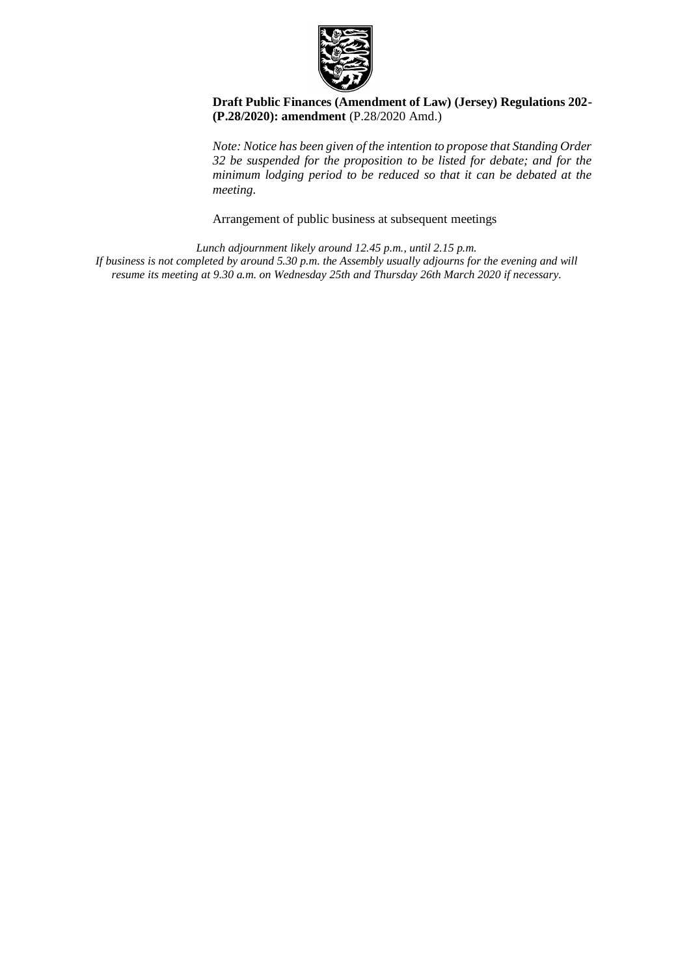

#### **[Draft Public Finances \(Amendment of Law\) \(Jersey\) Regulations 202-](https://statesassembly.gov.je/AssemblyPropositions/2020/P.28-2020Amd.pdf) [\(P.28/2020\): amendment](https://statesassembly.gov.je/AssemblyPropositions/2020/P.28-2020Amd.pdf)** (P.28/2020 Amd.)

*Note: Notice has been given of the intention to propose that Standing Order 32 be suspended for the proposition to be listed for debate; and for the minimum lodging period to be reduced so that it can be debated at the meeting.*

Arrangement of public business at subsequent meetings

*Lunch adjournment likely around 12.45 p.m., until 2.15 p.m. If business is not completed by around 5.30 p.m. the Assembly usually adjourns for the evening and will resume its meeting at 9.30 a.m. on Wednesday 25th and Thursday 26th March 2020 if necessary.*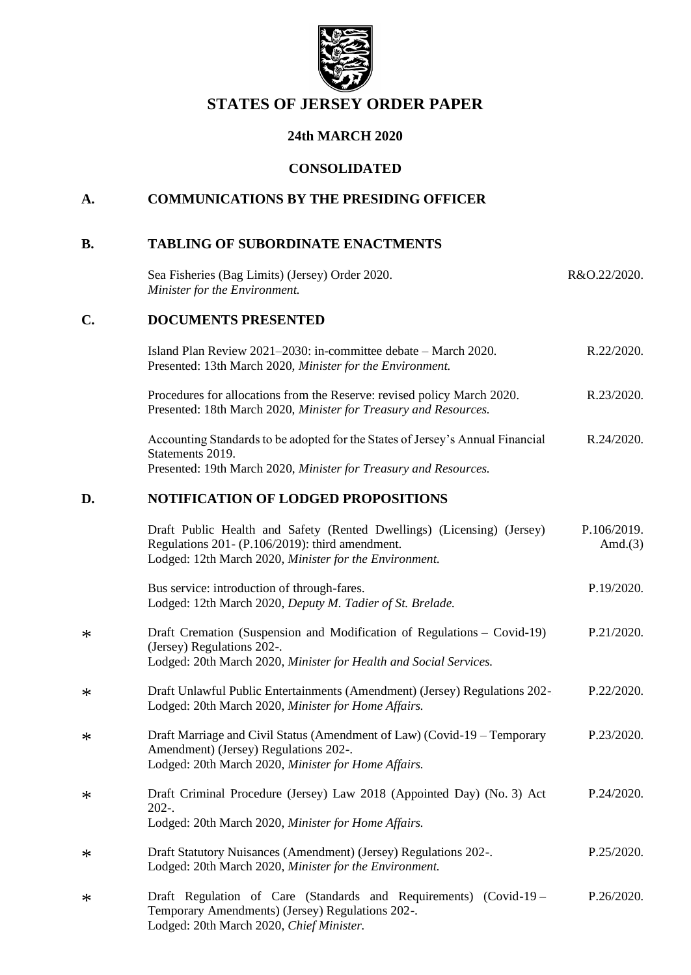

# **STATES OF JERSEY ORDER PAPER**

## **24th MARCH 2020**

## **CONSOLIDATED**

# **A. COMMUNICATIONS BY THE PRESIDING OFFICER**

## **B. TABLING OF SUBORDINATE ENACTMENTS**

\*

\*

\*

\*

\*

\*

|        | Sea Fisheries (Bag Limits) (Jersey) Order 2020.<br>Minister for the Environment.                                                                                                    | R&O.22/2020.              |
|--------|-------------------------------------------------------------------------------------------------------------------------------------------------------------------------------------|---------------------------|
| C.     | <b>DOCUMENTS PRESENTED</b>                                                                                                                                                          |                           |
|        | Island Plan Review 2021-2030: in-committee debate - March 2020.<br>Presented: 13th March 2020, Minister for the Environment.                                                        | R.22/2020.                |
|        | Procedures for allocations from the Reserve: revised policy March 2020.<br>Presented: 18th March 2020, Minister for Treasury and Resources.                                         | R.23/2020.                |
|        | Accounting Standards to be adopted for the States of Jersey's Annual Financial<br>Statements 2019.<br>Presented: 19th March 2020, Minister for Treasury and Resources.              | R.24/2020.                |
| D.     | <b>NOTIFICATION OF LODGED PROPOSITIONS</b>                                                                                                                                          |                           |
|        | Draft Public Health and Safety (Rented Dwellings) (Licensing) (Jersey)<br>Regulations 201- (P.106/2019): third amendment.<br>Lodged: 12th March 2020, Minister for the Environment. | P.106/2019.<br>Amd. $(3)$ |
|        | Bus service: introduction of through-fares.<br>Lodged: 12th March 2020, Deputy M. Tadier of St. Brelade.                                                                            | P.19/2020.                |
| ∗      | Draft Cremation (Suspension and Modification of Regulations - Covid-19)<br>(Jersey) Regulations 202-.<br>Lodged: 20th March 2020, Minister for Health and Social Services.          | P.21/2020.                |
| ∗      | Draft Unlawful Public Entertainments (Amendment) (Jersey) Regulations 202-<br>Lodged: 20th March 2020, Minister for Home Affairs.                                                   | P.22/2020.                |
| ∗      | Draft Marriage and Civil Status (Amendment of Law) (Covid-19 – Temporary<br>Amendment) (Jersey) Regulations 202-.<br>Lodged: 20th March 2020, Minister for Home Affairs.            | P.23/2020.                |
| $\ast$ | Draft Criminal Procedure (Jersey) Law 2018 (Appointed Day) (No. 3) Act<br>$202 -$<br>Lodged: 20th March 2020, Minister for Home Affairs.                                            | P.24/2020.                |
| ∗      | Draft Statutory Nuisances (Amendment) (Jersey) Regulations 202-.<br>Lodged: 20th March 2020, Minister for the Environment.                                                          | P.25/2020.                |
| ∗      | Draft Regulation of Care (Standards and Requirements) (Covid-19 -<br>Temporary Amendments) (Jersey) Regulations 202-.<br>Lodged: 20th March 2020, Chief Minister.                   | P.26/2020.                |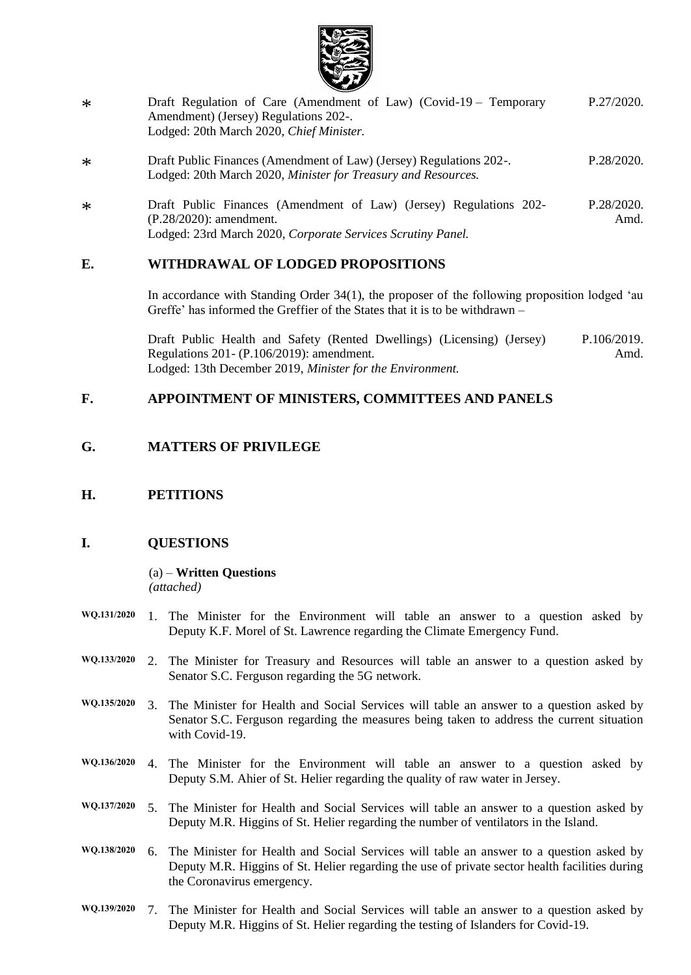

- \* [Draft Regulation of Care \(Amendment of Law\) \(Covid-19](https://statesassembly.gov.je/AssemblyPropositions/2020/P.27-2020.pdf) – Temporary [Amendment\) \(Jersey\) Regulations 202-.](https://statesassembly.gov.je/AssemblyPropositions/2020/P.27-2020.pdf) [Lodged: 20th March 2020,](https://statesassembly.gov.je/AssemblyPropositions/2020/P.27-2020.pdf) *Chief Minister.* [P.27/2020.](https://statesassembly.gov.je/AssemblyPropositions/2020/P.27-2020.pdf)
- \* [Draft Public Finances \(Amendment of Law\) \(Jersey\) Regulations 202-.](https://statesassembly.gov.je/AssemblyPropositions/2020/P.28-2020.pdf) Lodged: 20th March 2020, *[Minister for Treasury and Resources.](https://statesassembly.gov.je/AssemblyPropositions/2020/P.28-2020.pdf)* [P.28/2020.](https://statesassembly.gov.je/AssemblyPropositions/2020/P.28-2020.pdf)
- \* Draft Public Finances [\(Amendment](https://statesassembly.gov.je/AssemblyPropositions/2020/P.28-2020Amd.pdf) of Law) (Jersey) Regulations 202- [\(P.28/2020\):](https://statesassembly.gov.je/AssemblyPropositions/2020/P.28-2020Amd.pdf) amendment. Lodged: 23rd March 2020, *[Corporate](https://statesassembly.gov.je/AssemblyPropositions/2020/P.28-2020Amd.pdf) Services Scrutiny Panel.* [P.28/2020.](https://statesassembly.gov.je/AssemblyPropositions/2020/P.28-2020Amd.pdf) [Amd.](https://statesassembly.gov.je/AssemblyPropositions/2020/P.28-2020Amd.pdf)

## **E. WITHDRAWAL OF LODGED PROPOSITIONS**

In accordance with Standing Order 34(1), the proposer of the following proposition lodged 'au Greffe' has informed the Greffier of the States that it is to be withdrawn –

[Draft Public Health and Safety \(Rented Dwellings\) \(Licensing\) \(Jersey\)](https://statesassembly.gov.je/assemblypropositions/2019/p.106-2019amd.pdf)  Regulations 201- [\(P.106/2019\): amendment.](https://statesassembly.gov.je/assemblypropositions/2019/p.106-2019amd.pdf) [Lodged: 13th December 2019,](https://statesassembly.gov.je/assemblypropositions/2019/p.106-2019amd.pdf) *Minister for the Environment.* [P.106/2019.](https://statesassembly.gov.je/assemblypropositions/2019/p.106-2019amd.pdf) [Amd.](https://statesassembly.gov.je/assemblypropositions/2019/p.106-2019amd.pdf)

## **F. APPOINTMENT OF MINISTERS, COMMITTEES AND PANELS**

## **G. MATTERS OF PRIVILEGE**

#### **H. PETITIONS**

## **I. QUESTIONS**

#### (a) – **Written Questions** *(attached)*

**WQ.131/2020** 1. The Minister for the Environment will table an answer to a question asked by Deputy K.F. Morel of St. Lawrence regarding the Climate Emergency Fund.

- **WQ.133/2020** 2. The Minister for Treasury and Resources will table an answer to a question asked by Senator S.C. Ferguson regarding the 5G network.
- **WQ.135/2020** 3. The Minister for Health and Social Services will table an answer to a question asked by Senator S.C. Ferguson regarding the measures being taken to address the current situation with Covid-19.
- **WQ.136/2020** 4. The Minister for the Environment will table an answer to a question asked by Deputy S.M. Ahier of St. Helier regarding the quality of raw water in Jersey.
- **WQ.137/2020** 5. The Minister for Health and Social Services will table an answer to a question asked by Deputy M.R. Higgins of St. Helier regarding the number of ventilators in the Island.
- **WQ.138/2020** 6. The Minister for Health and Social Services will table an answer to a question asked by Deputy M.R. Higgins of St. Helier regarding the use of private sector health facilities during the Coronavirus emergency.
- **WQ.139/2020** 7. The Minister for Health and Social Services will table an answer to a question asked by Deputy M.R. Higgins of St. Helier regarding the testing of Islanders for Covid-19.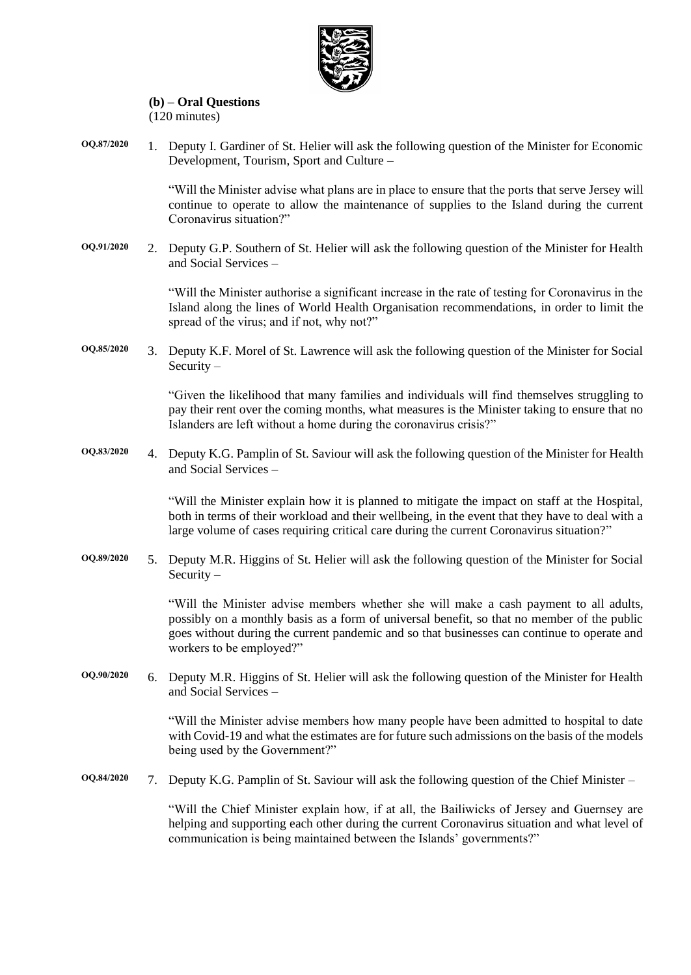

#### **(b) – Oral Questions** (120 minutes)

**OQ.87/2020** 1. Deputy I. Gardiner of St. Helier will ask the following question of the Minister for Economic Development, Tourism, Sport and Culture –

> "Will the Minister advise what plans are in place to ensure that the ports that serve Jersey will continue to operate to allow the maintenance of supplies to the Island during the current Coronavirus situation?"

**OQ.91/2020** 2. Deputy G.P. Southern of St. Helier will ask the following question of the Minister for Health and Social Services –

> "Will the Minister authorise a significant increase in the rate of testing for Coronavirus in the Island along the lines of World Health Organisation recommendations, in order to limit the spread of the virus; and if not, why not?"

**OQ.85/2020** 3. Deputy K.F. Morel of St. Lawrence will ask the following question of the Minister for Social Security –

> "Given the likelihood that many families and individuals will find themselves struggling to pay their rent over the coming months, what measures is the Minister taking to ensure that no Islanders are left without a home during the coronavirus crisis?"

**OQ.83/2020** 4. Deputy K.G. Pamplin of St. Saviour will ask the following question of the Minister for Health and Social Services –

> "Will the Minister explain how it is planned to mitigate the impact on staff at the Hospital, both in terms of their workload and their wellbeing, in the event that they have to deal with a large volume of cases requiring critical care during the current Coronavirus situation?"

**OQ.89/2020** 5. Deputy M.R. Higgins of St. Helier will ask the following question of the Minister for Social Security –

> "Will the Minister advise members whether she will make a cash payment to all adults, possibly on a monthly basis as a form of universal benefit, so that no member of the public goes without during the current pandemic and so that businesses can continue to operate and workers to be employed?"

**OQ.90/2020** 6. Deputy M.R. Higgins of St. Helier will ask the following question of the Minister for Health and Social Services –

> "Will the Minister advise members how many people have been admitted to hospital to date with Covid-19 and what the estimates are for future such admissions on the basis of the models being used by the Government?"

**OQ.84/2020** 7. Deputy K.G. Pamplin of St. Saviour will ask the following question of the Chief Minister –

"Will the Chief Minister explain how, if at all, the Bailiwicks of Jersey and Guernsey are helping and supporting each other during the current Coronavirus situation and what level of communication is being maintained between the Islands' governments?"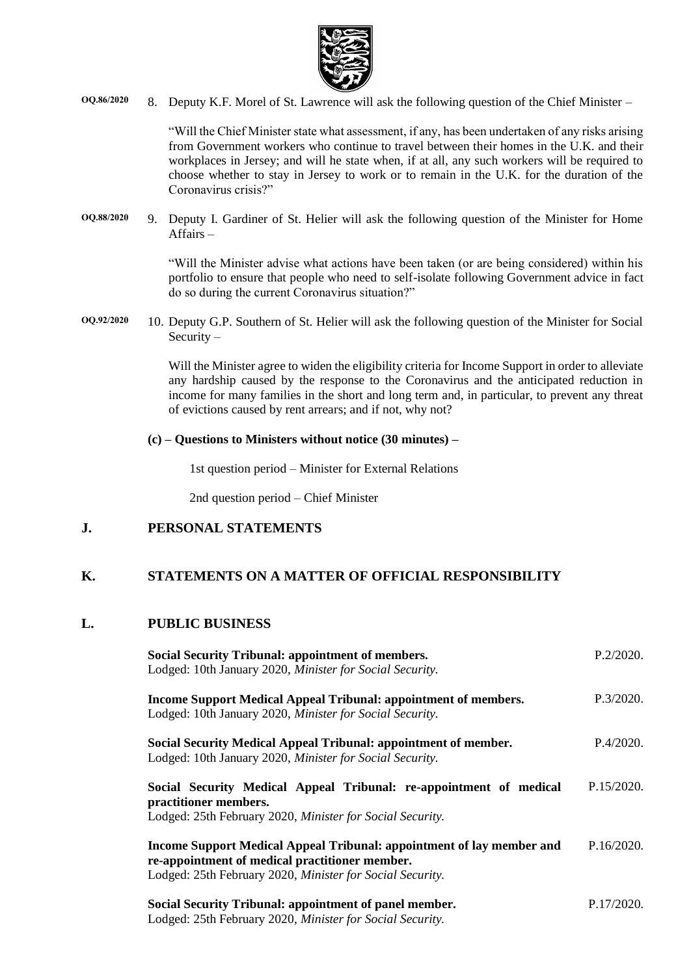

**OQ.86/2020** 8. Deputy K.F. Morel of St. Lawrence will ask the following question of the Chief Minister –

"Will the Chief Minister state what assessment, if any, has been undertaken of any risks arising from Government workers who continue to travel between their homes in the U.K. and their workplaces in Jersey; and will he state when, if at all, any such workers will be required to choose whether to stay in Jersey to work or to remain in the U.K. for the duration of the Coronavirus crisis?"

**OQ.88/2020** 9. Deputy I. Gardiner of St. Helier will ask the following question of the Minister for Home Affairs –

> "Will the Minister advise what actions have been taken (or are being considered) within his portfolio to ensure that people who need to self-isolate following Government advice in fact do so during the current Coronavirus situation?"

**OQ.92/2020** 10. Deputy G.P. Southern of St. Helier will ask the following question of the Minister for Social Security –

> Will the Minister agree to widen the eligibility criteria for Income Support in order to alleviate any hardship caused by the response to the Coronavirus and the anticipated reduction in income for many families in the short and long term and, in particular, to prevent any threat of evictions caused by rent arrears; and if not, why not?

#### **(c) – Questions to Ministers without notice (30 minutes) –**

1st question period – Minister for External Relations

2nd question period – Chief Minister

## **J. PERSONAL STATEMENTS**

## **K. STATEMENTS ON A MATTER OF OFFICIAL RESPONSIBILITY**

## **L. PUBLIC BUSINESS**

| <b>Social Security Tribunal: appointment of members.</b><br>Lodged: 10th January 2020, Minister for Social Security.                                                                 | P.2/2020.  |
|--------------------------------------------------------------------------------------------------------------------------------------------------------------------------------------|------------|
| <b>Income Support Medical Appeal Tribunal: appointment of members.</b><br>Lodged: 10th January 2020, Minister for Social Security.                                                   | P.3/2020.  |
| Social Security Medical Appeal Tribunal: appointment of member.<br>Lodged: 10th January 2020, Minister for Social Security.                                                          | P.4/2020.  |
| Social Security Medical Appeal Tribunal: re-appointment of medical<br>practitioner members.<br>Lodged: 25th February 2020, Minister for Social Security.                             | P.15/2020. |
| Income Support Medical Appeal Tribunal: appointment of lay member and<br>re-appointment of medical practitioner member.<br>Lodged: 25th February 2020, Minister for Social Security. | P.16/2020. |
| Social Security Tribunal: appointment of panel member.                                                                                                                               | P.17/2020. |

[Lodged: 25th February 2020,](https://statesassembly.gov.je/assemblypropositions/2020/p.17-2020.pdf) *Minister for Social Security.*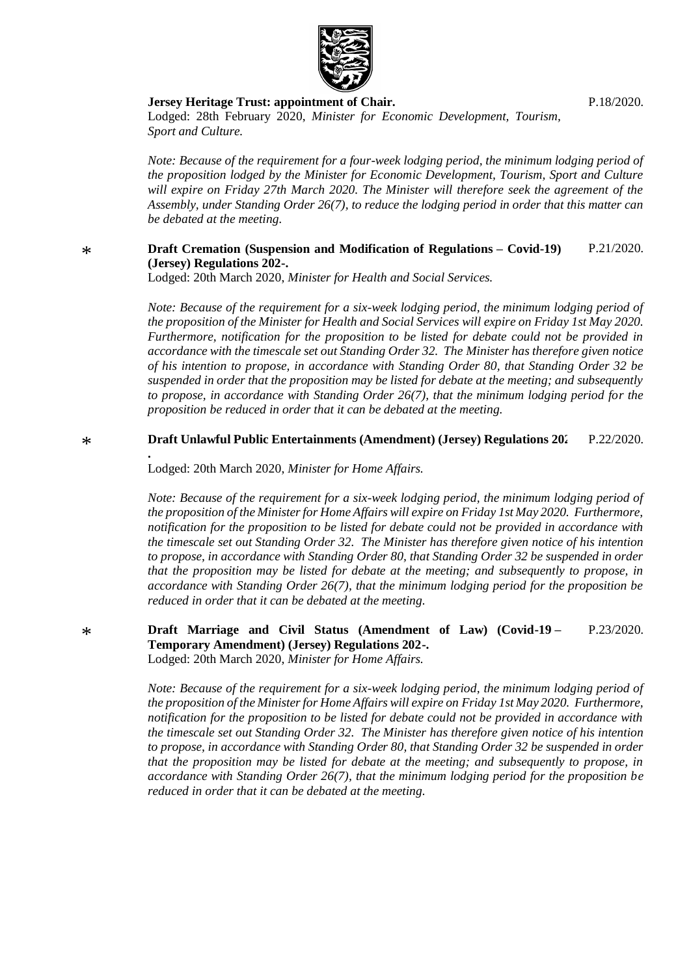

#### **[Jersey Heritage Trust: appointment of Chair.](https://statesassembly.gov.je/assemblypropositions/2020/p.18-2020.pdf)**

[P.18/2020.](https://statesassembly.gov.je/assemblypropositions/2020/p.18-2020.pdf)

Lodged: 28th February 2020, *[Minister for Economic Development, Tourism,](https://statesassembly.gov.je/assemblypropositions/2020/p.18-2020.pdf)  [Sport and Culture.](https://statesassembly.gov.je/assemblypropositions/2020/p.18-2020.pdf)*

*Note: Because of the requirement for a four-week lodging period, the minimum lodging period of the proposition lodged by the Minister for Economic Development, Tourism, Sport and Culture will expire on Friday 27th March 2020. The Minister will therefore seek the agreement of the Assembly, under Standing Order 26(7), to reduce the lodging period in order that this matter can be debated at the meeting.*

#### \* **[Draft Cremation \(Suspension and Modification of Regulations](https://statesassembly.gov.je/AssemblyPropositions/2020/P.21-2020.pdf) – Covid-19) [\(Jersey\) Regulations 202-.](https://statesassembly.gov.je/AssemblyPropositions/2020/P.21-2020.pdf)** [P.21/2020.](https://statesassembly.gov.je/AssemblyPropositions/2020/P.21-2020.pdf)

Lodged: 20th March 2020, *[Minister for Health and Social Services.](https://statesassembly.gov.je/AssemblyPropositions/2020/P.21-2020.pdf)*

*Note: Because of the requirement for a six-week lodging period, the minimum lodging period of the proposition of the Minister for Health and Social Services will expire on Friday 1st May 2020. Furthermore, notification for the proposition to be listed for debate could not be provided in accordance with the timescale set out Standing Order 32. The Minister has therefore given notice of his intention to propose, in accordance with Standing Order 80, that Standing Order 32 be suspended in order that the proposition may be listed for debate at the meeting; and subsequently to propose, in accordance with Standing Order 26(7), that the minimum lodging period for the proposition be reduced in order that it can be debated at the meeting.*

#### \* **[Draft Unlawful Public Entertainments \(Amendment\) \(Jersey\) Regulations 202-](https://statesassembly.gov.je/AssemblyPropositions/2020/P.22-2020.pdf)** [P.22/2020.](https://statesassembly.gov.je/AssemblyPropositions/2020/P.22-2020.pdf)

[Lodged: 20th March 2020,](https://statesassembly.gov.je/AssemblyPropositions/2020/P.22-2020.pdf) *Minister for Home Affairs.*

**[.](https://statesassembly.gov.je/AssemblyPropositions/2020/P.22-2020.pdf)**

\*

*Note: Because of the requirement for a six-week lodging period, the minimum lodging period of the proposition of the Minister for Home Affairs will expire on Friday 1st May 2020. Furthermore, notification for the proposition to be listed for debate could not be provided in accordance with the timescale set out Standing Order 32. The Minister has therefore given notice of his intention to propose, in accordance with Standing Order 80, that Standing Order 32 be suspended in order that the proposition may be listed for debate at the meeting; and subsequently to propose, in accordance with Standing Order 26(7), that the minimum lodging period for the proposition be reduced in order that it can be debated at the meeting.*

**[Draft Marriage and Civil Status \(Amendment of Law\) \(Covid-19](https://statesassembly.gov.je/AssemblyPropositions/2020/P.23-2020.pdf) – [Temporary Amendment\) \(Jersey\) Regulations 202-.](https://statesassembly.gov.je/AssemblyPropositions/2020/P.23-2020.pdf)** [Lodged: 20th March 2020,](https://statesassembly.gov.je/AssemblyPropositions/2020/P.23-2020.pdf) *Minister for Home Affairs.* [P.23/2020.](https://statesassembly.gov.je/AssemblyPropositions/2020/P.23-2020.pdf)

*Note: Because of the requirement for a six-week lodging period, the minimum lodging period of the proposition of the Minister for Home Affairs will expire on Friday 1st May 2020. Furthermore, notification for the proposition to be listed for debate could not be provided in accordance with the timescale set out Standing Order 32. The Minister has therefore given notice of his intention to propose, in accordance with Standing Order 80, that Standing Order 32 be suspended in order that the proposition may be listed for debate at the meeting; and subsequently to propose, in accordance with Standing Order 26(7), that the minimum lodging period for the proposition be reduced in order that it can be debated at the meeting.*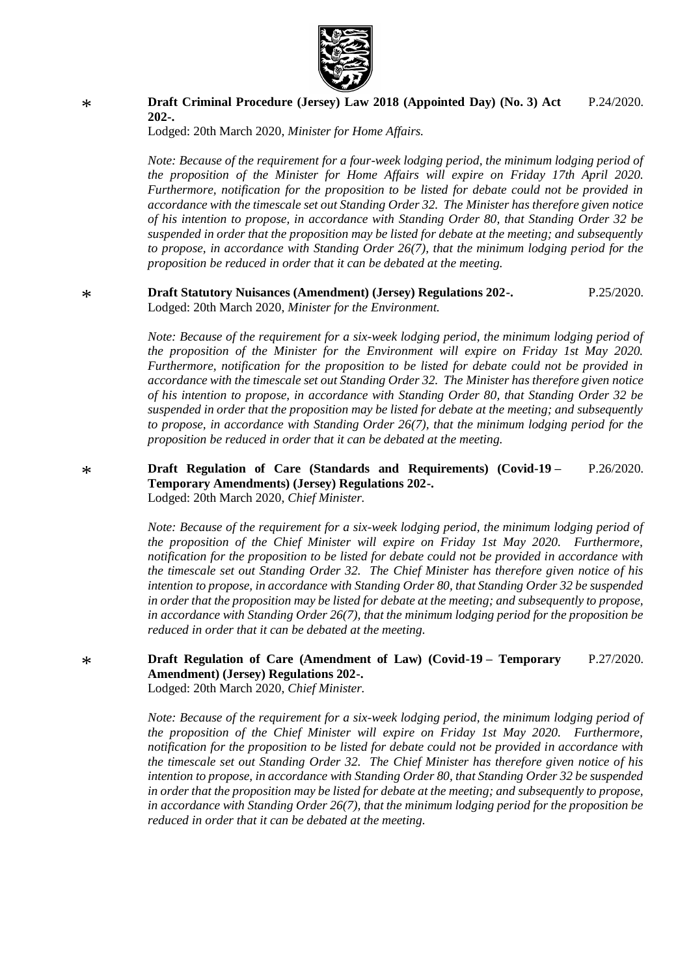

#### **[Draft Criminal Procedure \(Jersey\) Law 2018 \(Appointed Day\) \(No.](https://statesassembly.gov.je/AssemblyPropositions/2020/P.24-2020.pdf) 3) Act [202-.](https://statesassembly.gov.je/AssemblyPropositions/2020/P.24-2020.pdf)** [P.24/2020.](https://statesassembly.gov.je/AssemblyPropositions/2020/P.24-2020.pdf)

[Lodged: 20th March 2020,](https://statesassembly.gov.je/AssemblyPropositions/2020/P.24-2020.pdf) *Minister for Home Affairs.*

*Note: Because of the requirement for a four-week lodging period, the minimum lodging period of the proposition of the Minister for Home Affairs will expire on Friday 17th April 2020. Furthermore, notification for the proposition to be listed for debate could not be provided in accordance with the timescale set out Standing Order 32. The Minister has therefore given notice of his intention to propose, in accordance with Standing Order 80, that Standing Order 32 be suspended in order that the proposition may be listed for debate at the meeting; and subsequently to propose, in accordance with Standing Order 26(7), that the minimum lodging period for the proposition be reduced in order that it can be debated at the meeting.*

#### \* **[Draft Statutory Nuisances \(Amendment\) \(Jersey\) Regulations 202-.](https://statesassembly.gov.je/AssemblyPropositions/2020/P.25-2020.pdf)** Lodged: 20th March 2020, *[Minister for the Environment.](https://statesassembly.gov.je/AssemblyPropositions/2020/P.25-2020.pdf)* [P.25/2020.](https://statesassembly.gov.je/AssemblyPropositions/2020/P.25-2020.pdf)

*Note: Because of the requirement for a six-week lodging period, the minimum lodging period of the proposition of the Minister for the Environment will expire on Friday 1st May 2020. Furthermore, notification for the proposition to be listed for debate could not be provided in accordance with the timescale set out Standing Order 32. The Minister has therefore given notice of his intention to propose, in accordance with Standing Order 80, that Standing Order 32 be suspended in order that the proposition may be listed for debate at the meeting; and subsequently to propose, in accordance with Standing Order 26(7), that the minimum lodging period for the proposition be reduced in order that it can be debated at the meeting.*

**[Draft Regulation of Care \(Standards and Requirements\) \(Covid-19](https://statesassembly.gov.je/AssemblyPropositions/2020/P.26-2020.pdf) – [Temporary Amendments\) \(Jersey\) Regulations 202-.](https://statesassembly.gov.je/AssemblyPropositions/2020/P.26-2020.pdf)** [Lodged: 20th March 2020,](https://statesassembly.gov.je/AssemblyPropositions/2020/P.26-2020.pdf) *Chief Minister.* [P.26/2020.](https://statesassembly.gov.je/AssemblyPropositions/2020/P.26-2020.pdf)

*Note: Because of the requirement for a six-week lodging period, the minimum lodging period of the proposition of the Chief Minister will expire on Friday 1st May 2020. Furthermore, notification for the proposition to be listed for debate could not be provided in accordance with the timescale set out Standing Order 32. The Chief Minister has therefore given notice of his intention to propose, in accordance with Standing Order 80, that Standing Order 32 be suspended in order that the proposition may be listed for debate at the meeting; and subsequently to propose, in accordance with Standing Order 26(7), that the minimum lodging period for the proposition be reduced in order that it can be debated at the meeting.*

#### **[Draft Regulation of Care \(Amendment of Law\) \(Covid-19](https://statesassembly.gov.je/AssemblyPropositions/2020/P.27-2020.pdf) – Temporary [Amendment\) \(Jersey\) Regulations 202-.](https://statesassembly.gov.je/AssemblyPropositions/2020/P.27-2020.pdf)** [P.27/2020.](https://statesassembly.gov.je/AssemblyPropositions/2020/P.27-2020.pdf)

[Lodged: 20th March 2020,](https://statesassembly.gov.je/AssemblyPropositions/2020/P.27-2020.pdf) *Chief Minister.*

*Note: Because of the requirement for a six-week lodging period, the minimum lodging period of the proposition of the Chief Minister will expire on Friday 1st May 2020. Furthermore, notification for the proposition to be listed for debate could not be provided in accordance with the timescale set out Standing Order 32. The Chief Minister has therefore given notice of his intention to propose, in accordance with Standing Order 80, that Standing Order 32 be suspended in order that the proposition may be listed for debate at the meeting; and subsequently to propose, in accordance with Standing Order 26(7), that the minimum lodging period for the proposition be reduced in order that it can be debated at the meeting.*

\*

\*

\*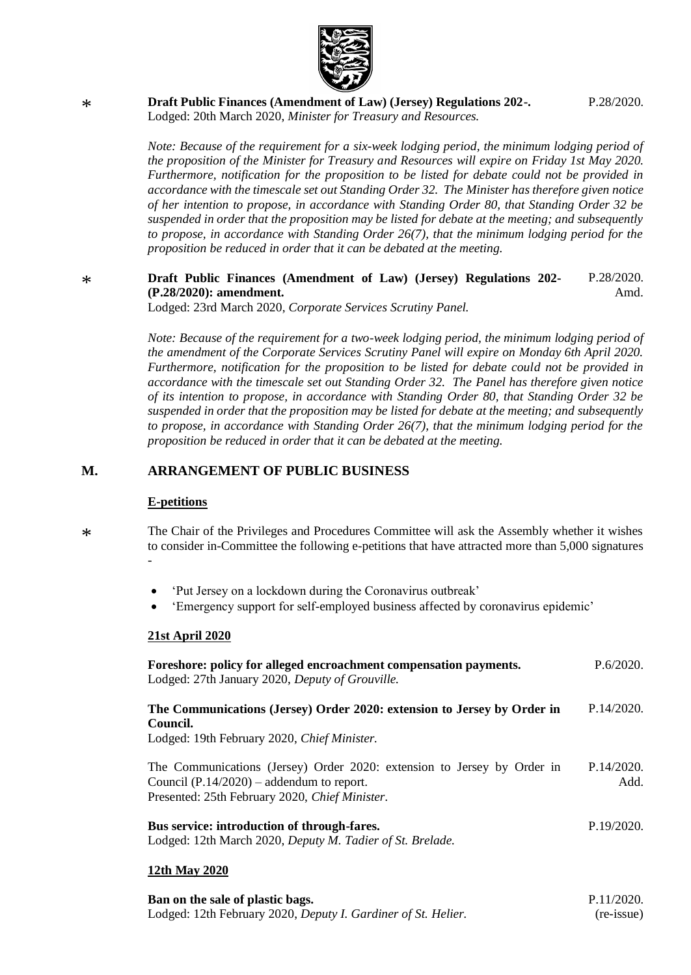

**[Draft Public Finances \(Amendment of Law\) \(Jersey\) Regulations 202-.](https://statesassembly.gov.je/AssemblyPropositions/2020/P.28-2020.pdf)** Lodged: 20th March 2020, *[Minister for Treasury and Resources.](https://statesassembly.gov.je/AssemblyPropositions/2020/P.28-2020.pdf)*

[P.28/2020.](https://statesassembly.gov.je/AssemblyPropositions/2020/P.28-2020.pdf)

*Note: Because of the requirement for a six-week lodging period, the minimum lodging period of the proposition of the Minister for Treasury and Resources will expire on Friday 1st May 2020. Furthermore, notification for the proposition to be listed for debate could not be provided in accordance with the timescale set out Standing Order 32. The Minister has therefore given notice of her intention to propose, in accordance with Standing Order 80, that Standing Order 32 be suspended in order that the proposition may be listed for debate at the meeting; and subsequently to propose, in accordance with Standing Order 26(7), that the minimum lodging period for the proposition be reduced in order that it can be debated at the meeting.*

#### \* **Draft Public Finances [\(Amendment](https://statesassembly.gov.je/AssemblyPropositions/2020/P.28-2020Amd.pdf) of Law) (Jersey) Regulations 202- (P.28/2020): [amendment.](https://statesassembly.gov.je/AssemblyPropositions/2020/P.28-2020Amd.pdf)** [P.28/2020.](https://statesassembly.gov.je/AssemblyPropositions/2020/P.28-2020Amd.pdf) [Amd.](https://statesassembly.gov.je/AssemblyPropositions/2020/P.28-2020Amd.pdf)

Lodged: 23rd March 2020, *[Corporate](https://statesassembly.gov.je/AssemblyPropositions/2020/P.28-2020Amd.pdf) Services Scrutiny Panel.*

*Note: Because of the requirement for a two-week lodging period, the minimum lodging period of the amendment of the Corporate Services Scrutiny Panel will expire on Monday 6th April 2020. Furthermore, notification for the proposition to be listed for debate could not be provided in accordance with the timescale set out Standing Order 32. The Panel has therefore given notice of its intention to propose, in accordance with Standing Order 80, that Standing Order 32 be suspended in order that the proposition may be listed for debate at the meeting; and subsequently to propose, in accordance with Standing Order 26(7), that the minimum lodging period for the proposition be reduced in order that it can be debated at the meeting.*

### **M. ARRANGEMENT OF PUBLIC BUSINESS**

#### **E-petitions**

\*

\* The Chair of the Privileges and Procedures Committee will ask the Assembly whether it wishes to consider in-Committee the following e-petitions that have attracted more than 5,000 signatures -

- ['Put Jersey on a lockdown during the Coronavirus outbreak'](https://petitions.gov.je/petitions/200295)
- ['Emergency support for self-employed business affected by coronavirus epidemic'](https://petitions.gov.je/petitions/200326)

#### **21st April 2020**

| Foreshore: policy for alleged encroachment compensation payments.<br>Lodged: 27th January 2020, Deputy of Grouville.                                                     | P.6/2020.          |
|--------------------------------------------------------------------------------------------------------------------------------------------------------------------------|--------------------|
| The Communications (Jersey) Order 2020: extension to Jersey by Order in<br>Council.                                                                                      | P.14/2020.         |
| Lodged: 19th February 2020, Chief Minister.                                                                                                                              |                    |
| The Communications (Jersey) Order 2020: extension to Jersey by Order in<br>Council $(P.14/2020)$ – addendum to report.<br>Presented: 25th February 2020, Chief Minister. | P.14/2020.<br>Add. |
| <b>Bus service: introduction of through-fares.</b><br>Lodged: 12th March 2020, Deputy M. Tadier of St. Brelade.                                                          | P.19/2020.         |
| 12th May 2020                                                                                                                                                            |                    |

#### **[Ban on the sale of plastic bags.](https://statesassembly.gov.je/assemblypropositions/2020/p.11-2020(re-issue).pdf)** [Lodged: 12th February 2020,](https://statesassembly.gov.je/assemblypropositions/2020/p.11-2020(re-issue).pdf) *Deputy I. Gardiner of St. Helier.* [P.11/2020.](https://statesassembly.gov.je/assemblypropositions/2020/p.11-2020(re-issue).pdf) [\(re-issue\)](https://statesassembly.gov.je/assemblypropositions/2020/p.11-2020(re-issue).pdf)